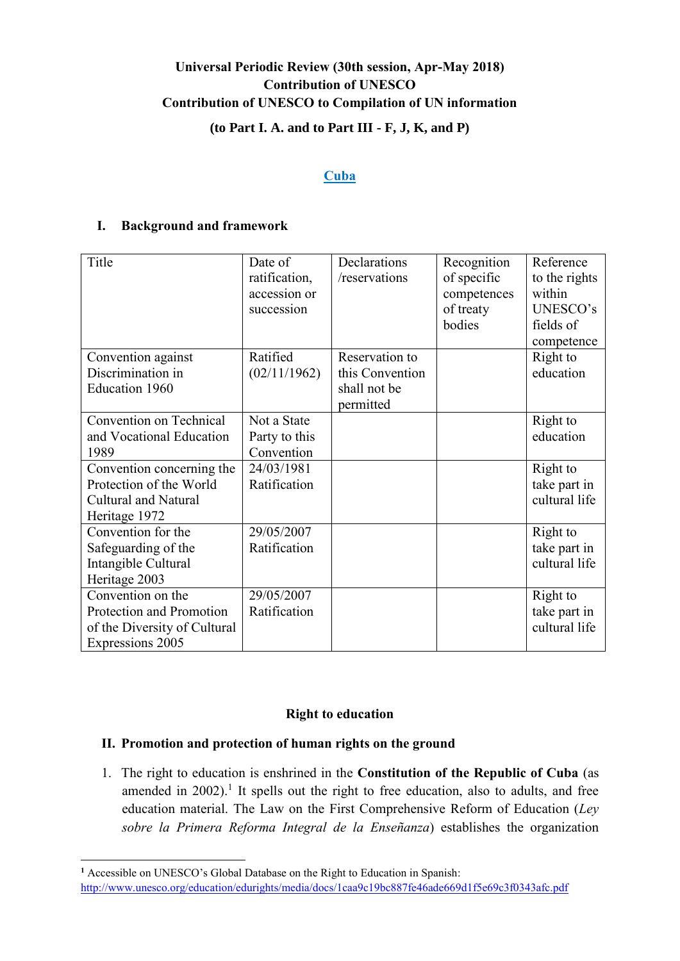# **Universal Periodic Review (30th session, Apr-May 2018) Contribution of UNESCO Contribution of UNESCO to Compilation of UN information (to Part I. A. and to Part III - F, J, K, and P)**

#### **Cuba**

# **I. Background and framework**

| Title                        | Date of       | Declarations    | Recognition | Reference     |
|------------------------------|---------------|-----------------|-------------|---------------|
|                              | ratification, | /reservations   | of specific | to the rights |
|                              | accession or  |                 | competences | within        |
|                              | succession    |                 | of treaty   | UNESCO's      |
|                              |               |                 | bodies      | fields of     |
|                              |               |                 |             | competence    |
| Convention against           | Ratified      | Reservation to  |             | Right to      |
| Discrimination in            | (02/11/1962)  | this Convention |             | education     |
| Education 1960               |               | shall not be    |             |               |
|                              |               | permitted       |             |               |
| Convention on Technical      | Not a State   |                 |             | Right to      |
| and Vocational Education     | Party to this |                 |             | education     |
| 1989                         | Convention    |                 |             |               |
| Convention concerning the    | 24/03/1981    |                 |             | Right to      |
| Protection of the World      | Ratification  |                 |             | take part in  |
| <b>Cultural and Natural</b>  |               |                 |             | cultural life |
| Heritage 1972                |               |                 |             |               |
| Convention for the           | 29/05/2007    |                 |             | Right to      |
| Safeguarding of the          | Ratification  |                 |             | take part in  |
| Intangible Cultural          |               |                 |             | cultural life |
| Heritage 2003                |               |                 |             |               |
| Convention on the            | 29/05/2007    |                 |             | Right to      |
| Protection and Promotion     | Ratification  |                 |             | take part in  |
| of the Diversity of Cultural |               |                 |             | cultural life |
| Expressions 2005             |               |                 |             |               |

# **Right to education**

# **II. Promotion and protection of human rights on the ground**

1. The right to education is enshrined in the **Constitution of the Republic of Cuba** (as amended in  $2002$ ).<sup>1</sup> It spells out the right to free education, also to adults, and free education material. The Law on the First Comprehensive Reform of Education (*Ley sobre la Primera Reforma Integral de la Enseñanza*) establishes the organization

**<sup>1</sup>** Accessible on UNESCO's Global Database on the Right to Education in Spanish:

<http://www.unesco.org/education/edurights/media/docs/1caa9c19bc887fe46ade669d1f5e69c3f0343afc.pdf>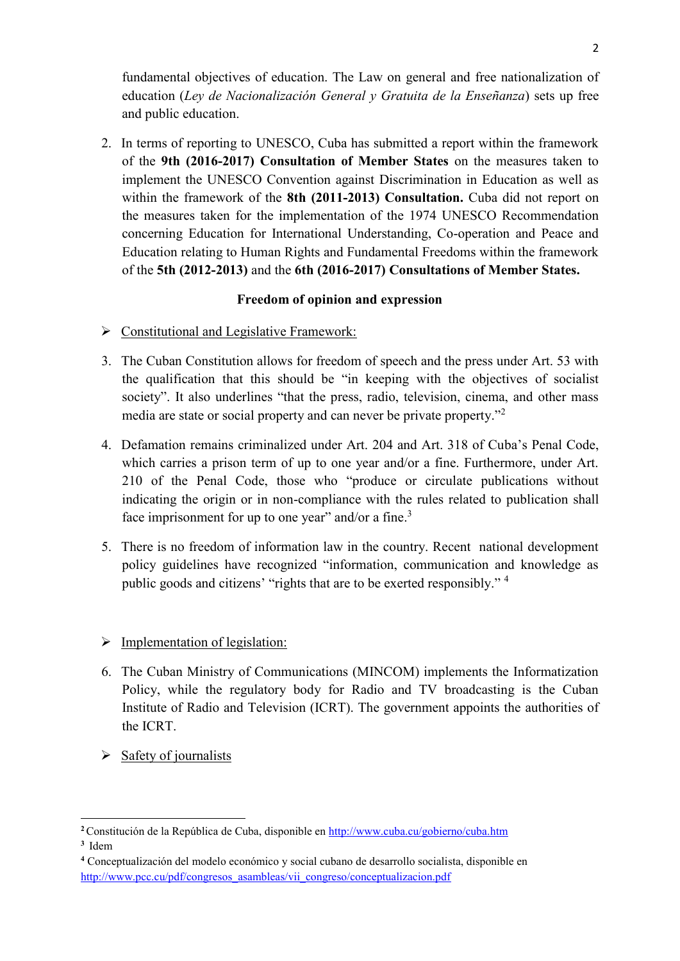fundamental objectives of education. The Law on general and free nationalization of education (*Ley de Nacionalización General y Gratuita de la Enseñanza*) sets up free and public education.

2. In terms of reporting to UNESCO, Cuba has submitted a report within the framework of the **9th (2016-2017) Consultation of Member States** on the measures taken to implement the UNESCO Convention against Discrimination in Education as well as within the framework of the **8th (2011-2013) Consultation.** Cuba did not report on the measures taken for the implementation of the 1974 UNESCO Recommendation concerning Education for International Understanding, Co-operation and Peace and Education relating to Human Rights and Fundamental Freedoms within the framework of the **5th (2012-2013)** and the **6th (2016-2017) Consultations of Member States.**

# **Freedom of opinion and expression**

- $\triangleright$  Constitutional and Legislative Framework:
- 3. The Cuban Constitution allows for freedom of speech and the press under Art. 53 with the qualification that this should be "in keeping with the objectives of socialist society". It also underlines "that the press, radio, television, cinema, and other mass media are state or social property and can never be private property."<sup>2</sup>
- 4. Defamation remains criminalized under Art. 204 and Art. 318 of Cuba's Penal Code, which carries a prison term of up to one year and/or a fine. Furthermore, under Art. 210 of the Penal Code, those who "produce or circulate publications without indicating the origin or in non-compliance with the rules related to publication shall face imprisonment for up to one year" and/or a fine. $3$
- 5. There is no freedom of information law in the country. Recent national development policy guidelines have recognized "information, communication and knowledge as public goods and citizens' "rights that are to be exerted responsibly." <sup>4</sup>
- $\triangleright$  Implementation of legislation:
- 6. The Cuban Ministry of Communications (MINCOM) implements the Informatization Policy, while the regulatory body for Radio and TV broadcasting is the Cuban Institute of Radio and Television (ICRT). The government appoints the authorities of the ICRT.
- $\triangleright$  Safety of journalists

**<sup>2</sup>**Constitución de la República de Cuba, disponible en<http://www.cuba.cu/gobierno/cuba.htm>

**<sup>3</sup>** Idem

**<sup>4</sup>** Conceptualización del modelo económico y social cubano de desarrollo socialista, disponible en [http://www.pcc.cu/pdf/congresos\\_asambleas/vii\\_congreso/conceptualizacion.pdf](http://www.pcc.cu/pdf/congresos_asambleas/vii_congreso/conceptualizacion.pdf)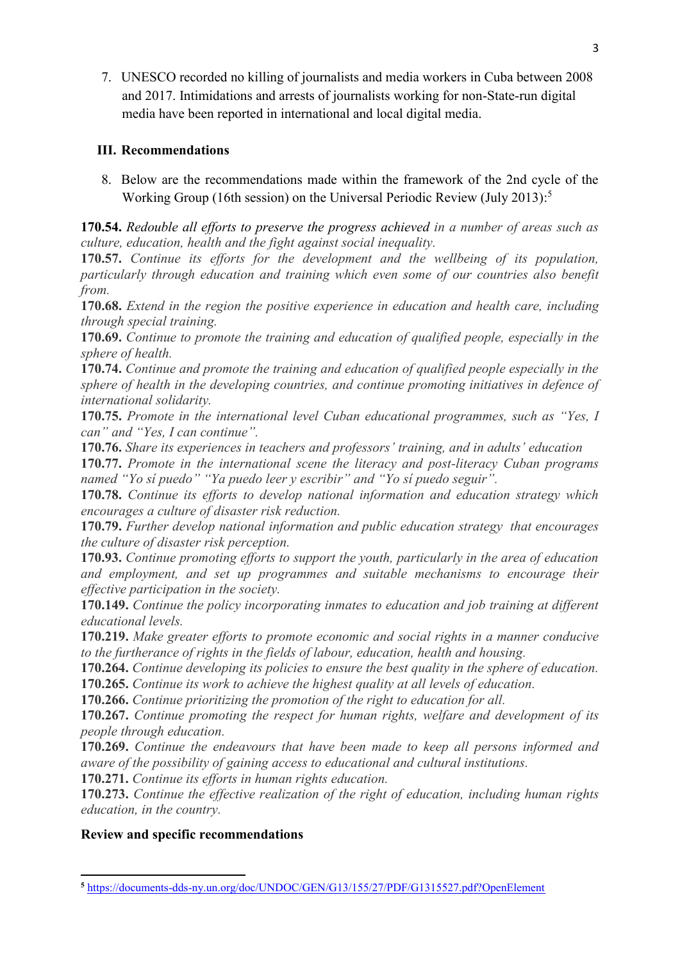7. UNESCO recorded no killing of journalists and media workers in Cuba between 2008 and 2017. Intimidations and arrests of journalists working for non-State-run digital media have been reported in international and local digital media.

# **III. Recommendations**

8. Below are the recommendations made within the framework of the 2nd cycle of the Working Group (16th session) on the Universal Periodic Review (July 2013): 5

**170.54.** *Redouble all efforts to preserve the progress achieved in a number of areas such as culture, education, health and the fight against social inequality.*

**170.57.** *Continue its efforts for the development and the wellbeing of its population, particularly through education and training which even some of our countries also benefit from.*

**170.68.** *Extend in the region the positive experience in education and health care, including through special training.*

**170.69.** *Continue to promote the training and education of qualified people, especially in the sphere of health.*

**170.74.** *Continue and promote the training and education of qualified people especially in the sphere of health in the developing countries, and continue promoting initiatives in defence of international solidarity.*

**170.75.** *Promote in the international level Cuban educational programmes, such as "Yes, I can" and "Yes, I can continue".*

**170.76.** *Share its experiences in teachers and professors' training, and in adults' education*

**170.77.** *Promote in the international scene the literacy and post-literacy Cuban programs named "Yo sí puedo" "Ya puedo leer y escribir" and "Yo sí puedo seguir".*

**170.78.** *Continue its efforts to develop national information and education strategy which encourages a culture of disaster risk reduction.*

**170.79.** *Further develop national information and public education strategy that encourages the culture of disaster risk perception.*

**170.93.** *Continue promoting efforts to support the youth, particularly in the area of education and employment, and set up programmes and suitable mechanisms to encourage their effective participation in the society.*

**170.149.** *Continue the policy incorporating inmates to education and job training at different educational levels.*

**170.219.** *Make greater efforts to promote economic and social rights in a manner conducive to the furtherance of rights in the fields of labour, education, health and housing.*

**170.264.** *Continue developing its policies to ensure the best quality in the sphere of education.*

**170.265.** *Continue its work to achieve the highest quality at all levels of education.*

**170.266.** *Continue prioritizing the promotion of the right to education for all.*

**170.267.** *Continue promoting the respect for human rights, welfare and development of its people through education.*

**170.269.** *Continue the endeavours that have been made to keep all persons informed and aware of the possibility of gaining access to educational and cultural institutions.*

**170.271.** *Continue its efforts in human rights education.*

**170.273.** *Continue the effective realization of the right of education, including human rights education, in the country.*

# **Review and specific recommendations**

<sup>1</sup> **<sup>5</sup>** <https://documents-dds-ny.un.org/doc/UNDOC/GEN/G13/155/27/PDF/G1315527.pdf?OpenElement>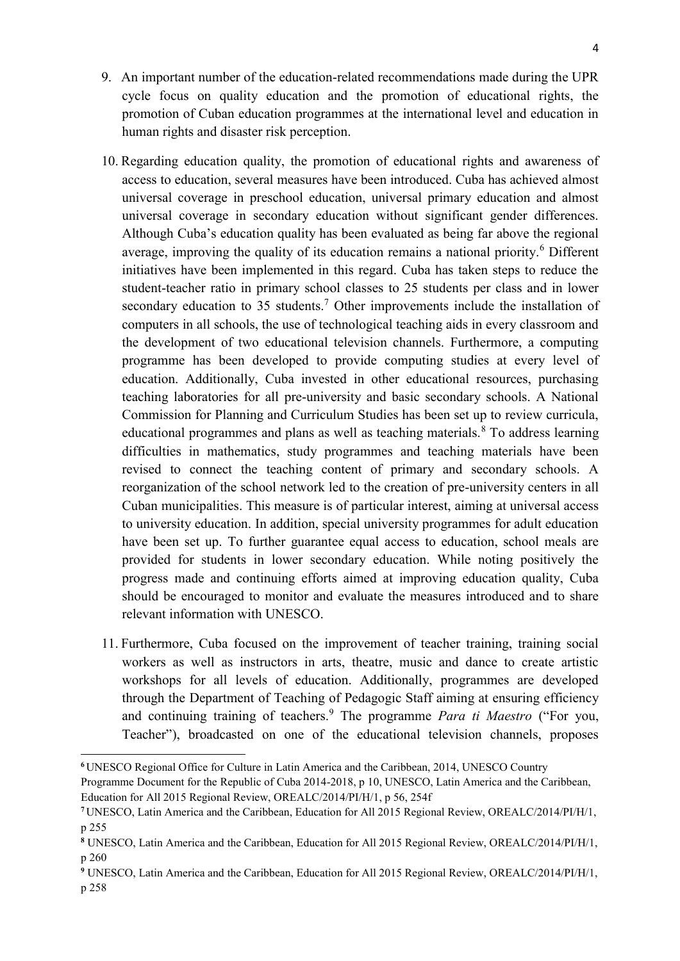- 9. An important number of the education-related recommendations made during the UPR cycle focus on quality education and the promotion of educational rights, the promotion of Cuban education programmes at the international level and education in human rights and disaster risk perception.
- 10. Regarding education quality, the promotion of educational rights and awareness of access to education, several measures have been introduced. Cuba has achieved almost universal coverage in preschool education, universal primary education and almost universal coverage in secondary education without significant gender differences. Although Cuba's education quality has been evaluated as being far above the regional average, improving the quality of its education remains a national priority.<sup>6</sup> Different initiatives have been implemented in this regard. Cuba has taken steps to reduce the student-teacher ratio in primary school classes to 25 students per class and in lower secondary education to 35 students.<sup>7</sup> Other improvements include the installation of computers in all schools, the use of technological teaching aids in every classroom and the development of two educational television channels. Furthermore, a computing programme has been developed to provide computing studies at every level of education. Additionally, Cuba invested in other educational resources, purchasing teaching laboratories for all pre-university and basic secondary schools. A National Commission for Planning and Curriculum Studies has been set up to review curricula, educational programmes and plans as well as teaching materials. $8$  To address learning difficulties in mathematics, study programmes and teaching materials have been revised to connect the teaching content of primary and secondary schools. A reorganization of the school network led to the creation of pre-university centers in all Cuban municipalities. This measure is of particular interest, aiming at universal access to university education. In addition, special university programmes for adult education have been set up. To further guarantee equal access to education, school meals are provided for students in lower secondary education. While noting positively the progress made and continuing efforts aimed at improving education quality, Cuba should be encouraged to monitor and evaluate the measures introduced and to share relevant information with UNESCO.
- 11. Furthermore, Cuba focused on the improvement of teacher training, training social workers as well as instructors in arts, theatre, music and dance to create artistic workshops for all levels of education. Additionally, programmes are developed through the Department of Teaching of Pedagogic Staff aiming at ensuring efficiency and continuing training of teachers.<sup>9</sup> The programme *Para ti Maestro* ("For you, Teacher"), broadcasted on one of the educational television channels, proposes

1

**<sup>6</sup>** UNESCO Regional Office for Culture in Latin America and the Caribbean, 2014, UNESCO Country

Programme Document for the Republic of Cuba 2014-2018, p 10, UNESCO, Latin America and the Caribbean, Education for All 2015 Regional Review, OREALC/2014/PI/H/1, p 56, 254f

**<sup>7</sup>** UNESCO, Latin America and the Caribbean, Education for All 2015 Regional Review, OREALC/2014/PI/H/1, p 255

**<sup>8</sup>** UNESCO, Latin America and the Caribbean, Education for All 2015 Regional Review, OREALC/2014/PI/H/1, p 260

**<sup>9</sup>** UNESCO, Latin America and the Caribbean, Education for All 2015 Regional Review, OREALC/2014/PI/H/1, p 258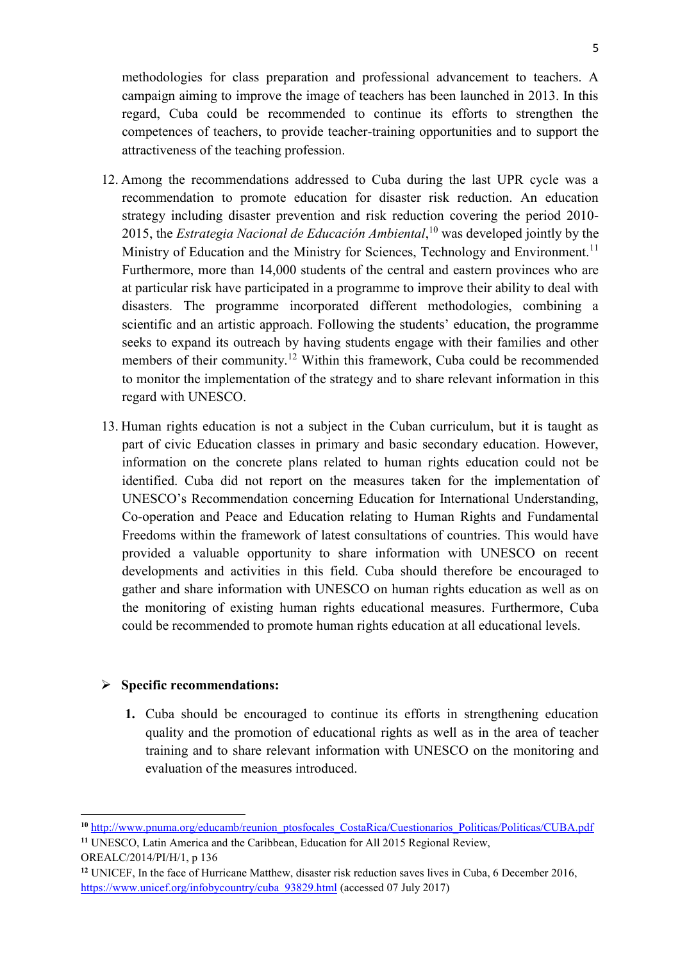methodologies for class preparation and professional advancement to teachers. A campaign aiming to improve the image of teachers has been launched in 2013. In this regard, Cuba could be recommended to continue its efforts to strengthen the competences of teachers, to provide teacher-training opportunities and to support the attractiveness of the teaching profession.

- 12. Among the recommendations addressed to Cuba during the last UPR cycle was a recommendation to promote education for disaster risk reduction. An education strategy including disaster prevention and risk reduction covering the period 2010- 2015, the *Estrategia Nacional de Educación Ambiental*, <sup>10</sup> was developed jointly by the Ministry of Education and the Ministry for Sciences, Technology and Environment.<sup>11</sup> Furthermore, more than 14,000 students of the central and eastern provinces who are at particular risk have participated in a programme to improve their ability to deal with disasters. The programme incorporated different methodologies, combining a scientific and an artistic approach. Following the students' education, the programme seeks to expand its outreach by having students engage with their families and other members of their community.<sup>12</sup> Within this framework, Cuba could be recommended to monitor the implementation of the strategy and to share relevant information in this regard with UNESCO.
- 13. Human rights education is not a subject in the Cuban curriculum, but it is taught as part of civic Education classes in primary and basic secondary education. However, information on the concrete plans related to human rights education could not be identified. Cuba did not report on the measures taken for the implementation of UNESCO's Recommendation concerning Education for International Understanding, Co-operation and Peace and Education relating to Human Rights and Fundamental Freedoms within the framework of latest consultations of countries. This would have provided a valuable opportunity to share information with UNESCO on recent developments and activities in this field. Cuba should therefore be encouraged to gather and share information with UNESCO on human rights education as well as on the monitoring of existing human rights educational measures. Furthermore, Cuba could be recommended to promote human rights education at all educational levels.

#### **Specific recommendations:**

**1.** Cuba should be encouraged to continue its efforts in strengthening education quality and the promotion of educational rights as well as in the area of teacher training and to share relevant information with UNESCO on the monitoring and evaluation of the measures introduced.

OREALC/2014/PI/H/1, p 136

<sup>&</sup>lt;sup>10</sup> [http://www.pnuma.org/educamb/reunion\\_ptosfocales\\_CostaRica/Cuestionarios\\_Politicas/Politicas/CUBA.pdf](http://www.pnuma.org/educamb/reunion_ptosfocales_CostaRica/Cuestionarios_Politicas/Politicas/CUBA.pdf) **<sup>11</sup>** UNESCO, Latin America and the Caribbean, Education for All 2015 Regional Review,

**<sup>12</sup>** UNICEF, In the face of Hurricane Matthew, disaster risk reduction saves lives in Cuba, 6 December 2016, [https://www.unicef.org/infobycountry/cuba\\_93829.html](https://www.unicef.org/infobycountry/cuba_93829.html) (accessed 07 July 2017)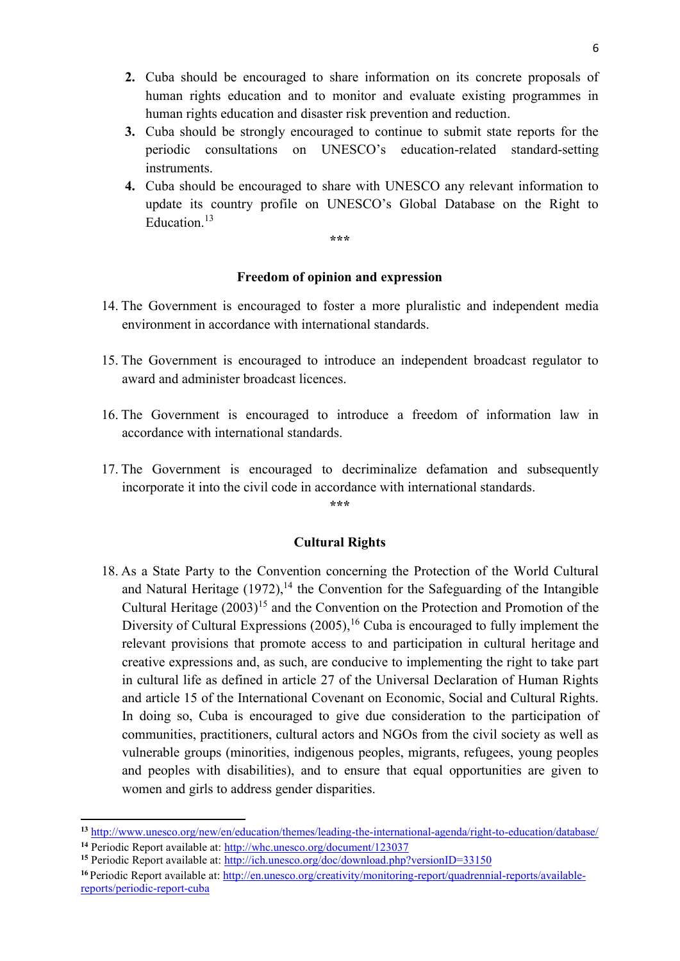- **2.** Cuba should be encouraged to share information on its concrete proposals of human rights education and to monitor and evaluate existing programmes in human rights education and disaster risk prevention and reduction.
- **3.** Cuba should be strongly encouraged to continue to submit state reports for the periodic consultations on UNESCO's education-related standard-setting instruments.
- **4.** Cuba should be encouraged to share with UNESCO any relevant information to update its country profile on UNESCO's Global Database on the Right to Education.<sup>13</sup>

**\*\*\***

# **Freedom of opinion and expression**

- 14. The Government is encouraged to foster a more pluralistic and independent media environment in accordance with international standards.
- 15. The Government is encouraged to introduce an independent broadcast regulator to award and administer broadcast licences.
- 16. The Government is encouraged to introduce a freedom of information law in accordance with international standards.
- 17. The Government is encouraged to decriminalize defamation and subsequently incorporate it into the civil code in accordance with international standards.

**\*\*\***

# **Cultural Rights**

18. As a State Party to the Convention concerning the Protection of the World Cultural and Natural Heritage  $(1972)$ ,<sup>14</sup> the Convention for the Safeguarding of the Intangible Cultural Heritage  $(2003)^{15}$  and the Convention on the Protection and Promotion of the Diversity of Cultural Expressions (2005),<sup>16</sup> Cuba is encouraged to fully implement the relevant provisions that promote access to and participation in cultural heritage and creative expressions and, as such, are conducive to implementing the right to take part in cultural life as defined in article 27 of the Universal Declaration of Human Rights and article 15 of the International Covenant on Economic, Social and Cultural Rights. In doing so, Cuba is encouraged to give due consideration to the participation of communities, practitioners, cultural actors and NGOs from the civil society as well as vulnerable groups (minorities, indigenous peoples, migrants, refugees, young peoples and peoples with disabilities), and to ensure that equal opportunities are given to women and girls to address gender disparities.

**<sup>13</sup>** <http://www.unesco.org/new/en/education/themes/leading-the-international-agenda/right-to-education/database/> **<sup>14</sup>** Periodic Report available at:<http://whc.unesco.org/document/123037>

<sup>&</sup>lt;sup>15</sup> Periodic Report available at:<http://ich.unesco.org/doc/download.php?versionID=33150>

**<sup>16</sup>** Periodic Report available at: [http://en.unesco.org/creativity/monitoring-report/quadrennial-reports/available](http://en.unesco.org/creativity/monitoring-report/quadrennial-reports/available-reports/periodic-report-cuba)[reports/periodic-report-cuba](http://en.unesco.org/creativity/monitoring-report/quadrennial-reports/available-reports/periodic-report-cuba)